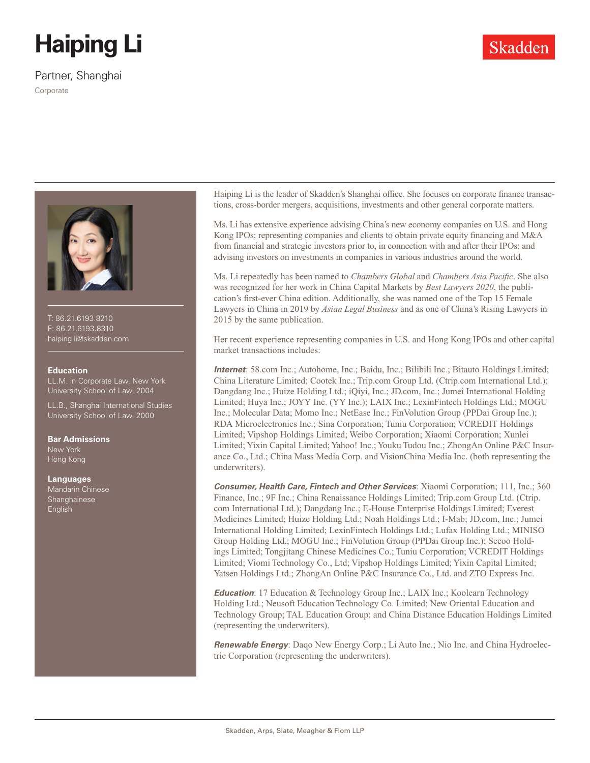# **Haiping Li**

Partner, Shanghai

Corporate



T: 86.21.6193.8210 F: 86.21.6193.8310 haiping.li@skadden.com

### **Education**

LL.M. in Corporate Law, New York University School of Law, 2004

LL.B., Shanghai International Studies University School of Law, 2000

#### **Bar Admissions**

New York Hong Kong

#### **Languages**

Mandarin Chinese Shanghainese English

Haiping Li is the leader of Skadden's Shanghai office. She focuses on corporate finance transactions, cross-border mergers, acquisitions, investments and other general corporate matters.

Ms. Li has extensive experience advising China's new economy companies on U.S. and Hong Kong IPOs; representing companies and clients to obtain private equity financing and M&A from financial and strategic investors prior to, in connection with and after their IPOs; and advising investors on investments in companies in various industries around the world.

Ms. Li repeatedly has been named to *Chambers Global* and *Chambers Asia Pacific*. She also was recognized for her work in China Capital Markets by *Best Lawyers 2020*, the publication's first-ever China edition. Additionally, she was named one of the Top 15 Female Lawyers in China in 2019 by *Asian Legal Business* and as one of China's Rising Lawyers in 2015 by the same publication.

Her recent experience representing companies in U.S. and Hong Kong IPOs and other capital market transactions includes:

*Internet*: 58.com Inc.; Autohome, Inc.; Baidu, Inc.; Bilibili Inc.; Bitauto Holdings Limited; China Literature Limited; Cootek Inc.; Trip.com Group Ltd. (Ctrip.com International Ltd.); Dangdang Inc.; Huize Holding Ltd.; iQiyi, Inc.; JD.com, Inc.; Jumei International Holding Limited; Huya Inc.; JOYY Inc. (YY Inc.); LAIX Inc.; LexinFintech Holdings Ltd.; MOGU Inc.; Molecular Data; Momo Inc.; NetEase Inc.; FinVolution Group (PPDai Group Inc.); RDA Microelectronics Inc.; Sina Corporation; Tuniu Corporation; VCREDIT Holdings Limited; Vipshop Holdings Limited; Weibo Corporation; Xiaomi Corporation; Xunlei Limited; Yixin Capital Limited; Yahoo! Inc.; Youku Tudou Inc.; ZhongAn Online P&C Insurance Co., Ltd.; China Mass Media Corp. and VisionChina Media Inc. (both representing the underwriters).

*Consumer, Health Care, Fintech and Other Services*: Xiaomi Corporation; 111, Inc.; 360 Finance, Inc.; 9F Inc.; China Renaissance Holdings Limited; Trip.com Group Ltd. (Ctrip. com International Ltd.); Dangdang Inc.; E-House Enterprise Holdings Limited; Everest Medicines Limited; Huize Holding Ltd.; Noah Holdings Ltd.; I-Mab; JD.com, Inc.; Jumei International Holding Limited; LexinFintech Holdings Ltd.; Lufax Holding Ltd.; MINISO Group Holding Ltd.; MOGU Inc.; FinVolution Group (PPDai Group Inc.); Secoo Holdings Limited; Tongjitang Chinese Medicines Co.; Tuniu Corporation; VCREDIT Holdings Limited; Viomi Technology Co., Ltd; Vipshop Holdings Limited; Yixin Capital Limited; Yatsen Holdings Ltd.; ZhongAn Online P&C Insurance Co., Ltd. and ZTO Express Inc.

*Education*: 17 Education & Technology Group Inc.; LAIX Inc.; Koolearn Technology Holding Ltd.; Neusoft Education Technology Co. Limited; New Oriental Education and Technology Group; TAL Education Group; and China Distance Education Holdings Limited (representing the underwriters).

*Renewable Energy*: Daqo New Energy Corp.; Li Auto Inc.; Nio Inc. and China Hydroelectric Corporation (representing the underwriters).